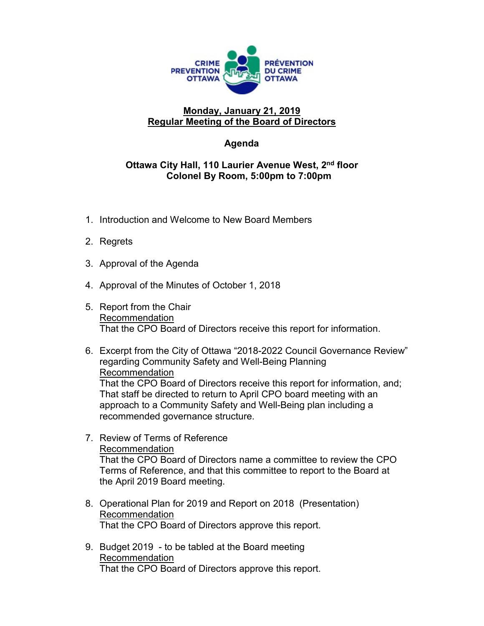

## **Monday, January 21, 2019 Regular Meeting of the Board of Directors**

## **Agenda**

## **Ottawa City Hall, 110 Laurier Avenue West, 2nd floor Colonel By Room, 5:00pm to 7:00pm**

- 1. Introduction and Welcome to New Board Members
- 2. Regrets
- 3. Approval of the Agenda
- 4. Approval of the Minutes of October 1, 2018
- 5. Report from the Chair Recommendation That the CPO Board of Directors receive this report for information.
- 6. Excerpt from the City of Ottawa "2018-2022 Council Governance Review" regarding Community Safety and Well-Being Planning Recommendation That the CPO Board of Directors receive this report for information, and; That staff be directed to return to April CPO board meeting with an approach to a Community Safety and Well-Being plan including a recommended governance structure.
- 7. Review of Terms of Reference Recommendation That the CPO Board of Directors name a committee to review the CPO Terms of Reference, and that this committee to report to the Board at the April 2019 Board meeting.
- 8. Operational Plan for 2019 and Report on 2018 (Presentation) Recommendation That the CPO Board of Directors approve this report.
- 9. Budget 2019 to be tabled at the Board meeting Recommendation That the CPO Board of Directors approve this report.